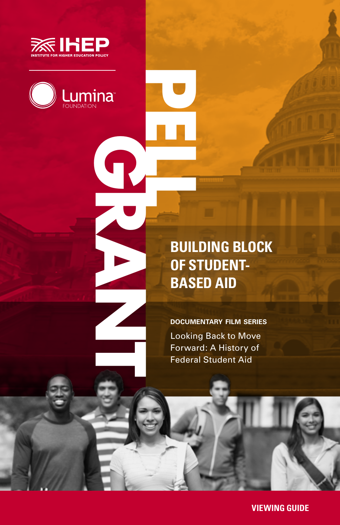



### **BUILDING BLOCK OF STUDENT-BASED AID**

**documentary film series** Looking Back to Move Forward: A History of Federal Student Aid

**VIEWING GUIDE**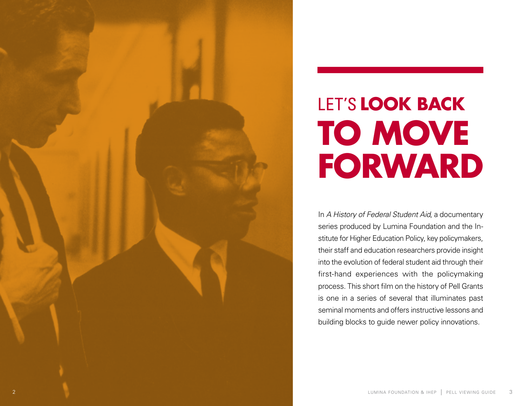

# LET'S **LOOK BACK TO MOVE FORWARD**

In *A History of Federal Student Aid*, a documentary series produced by Lumina Foundation and the In stitute for Higher Education Policy, key policymakers, their staff and education researchers provide insight into the evolution of federal student aid through their first-hand experiences with the policymaking process. This short film on the history of Pell Grants is one in a series of several that illuminates past seminal moments and offers instructive lessons and building blocks to guide newer policy innovations.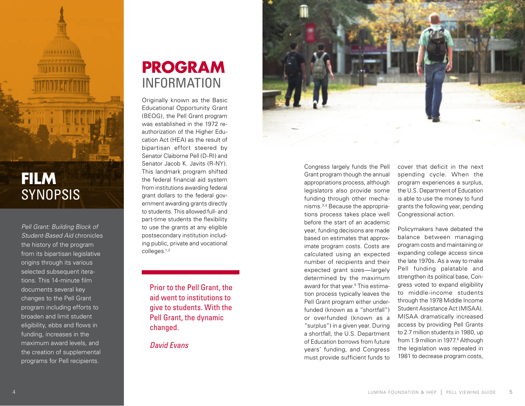

*Pell Grant: Building Block of Student-Based Aid* chronicles the history of the program from its bipartisan legislative origins through its various selected subsequent itera tions. This 14-minute film documents several key changes to the Pell Grant program including efforts to broaden and limit student eligibility, ebbs and flows in funding, increases in the maximum award levels, and the creation of supplemental programs for Pell recipients.

### **PROGRAM** INFORMATION

Originally known as the Basic Educational Opportunity Grant (BEOG), the Pell Grant program was established in the 1972 re authorization of the Higher Edu cation Act (HEA) as the result of bipartisan effort steered by Senator Claiborne Pell (D-RI) and Senator Jacob K. Javits (R-NY). This landmark program shifted the federal financial aid system from institutions awarding federal grant dollars to the federal gov ernment awarding grants directly to students. This allowed full- and part-time students the flexibility to use the grants at any eligible postsecondary institution includ ing public, private and vocational colleges.1,2

Prior to the Pell Grant, the aid went to institutions to give to students. With the Pell Grant, the dynamic changed.

*David Evans*



Congress largely funds the Pell Grant program though the annual appropriations process, although legislators also provide some funding through other mecha nisms.3,4 Because the appropria tions process takes place well before the start of an academic year, funding decisions are made based on estimates that approx imate program costs. Costs are calculated using an expected number of recipients and their expected grant sizes—largely determined by the maximum award for that year.<sup>5</sup> This estimation process typically leaves the Pell Grant program either under funded (known as a "shortfall") or overfunded (known as a "surplus") in a given year. During a shortfall, the U.S. Department of Education borrows from future years' funding, and Congress must provide sufficient funds to

cover that deficit in the next spending cycle. When the program experiences a surplus, the U.S. Department of Education is able to use the money to fund grants the following year, pending Congressional action.

Policymakers have debated the balance between managing program costs and maintaining or expanding college access since the late 1970s. As a way to make Pell funding palatable and strengthen its political base, Con gress voted to expand eligibility to middle-income students through the 1978 Middle Income Student Assistance Act (MISAA). MISAA dramatically increased access by providing Pell Grants to 2.7 million students in 1980, up from 1.9 million in 1977. 6 Although the legislation was repealed in 1981 to decrease program costs,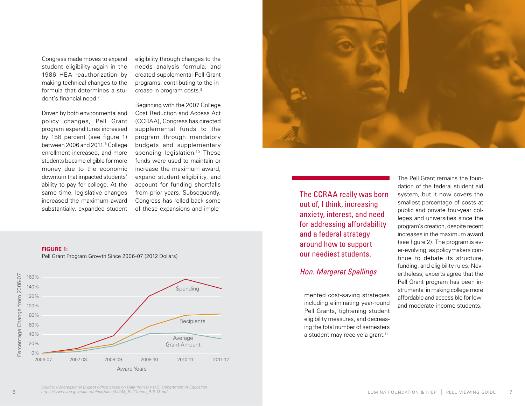Congress made moves to expand student eligibility again in the 1986 HEA reauthorization by making technical changes to the formula that determines a stu dent's financial need. 7

Driven by both environmental and policy changes, Pell Grant program expenditures increased by 158 percent (see figure 1) between 2006 and 2011.<sup>8</sup> College enrollment increased, and more students became eligible for more money due to the economic downturn that impacted students' ability to pay for college. At the same time, legislative changes increased the maximum award substantially, expanded student

eligibility through changes to the needs analysis formula, and created supplemental Pell Grant programs, contributing to the in crease in program costs. 9

Beginning with the 2007 College Cost Reduction and Access Act (CCRAA), Congress has directed supplemental funds to the program through mandatory budgets and supplementary spending legislation.<sup>10</sup> These funds were used to maintain or increase the maximum award, expand student eligibility, and account for funding shortfalls from prior years. Subsequently, Congress has rolled back some of these expansions and imple -

#### **FIGURE 1:**







### The CCRAA really was born out of, I think, increasing anxiety, interest, and need for addressing affordability and a federal strategy around how to support our neediest students.

#### *Hon. Margaret Spellings*

mented cost-saving strategies including eliminating year-round Pell Grants, tightening student eligibility measures, and decreas ing the total number of semesters a student may receive a grant.<sup>11</sup>

The Pell Grant remains the foun dation of the federal student aid system, but it now covers the smallest percentage of costs at public and private four-year col leges and universities since the program's creation, despite recent increases in the maximum award (see figure 2). The program is ev er-evolving, as policymakers con tinue to debate its structure, funding, and eligibility rules. Nev ertheless, experts agree that the Pell Grant program has been in strumental in making college more affordable and accessible for lowand moderate-income students.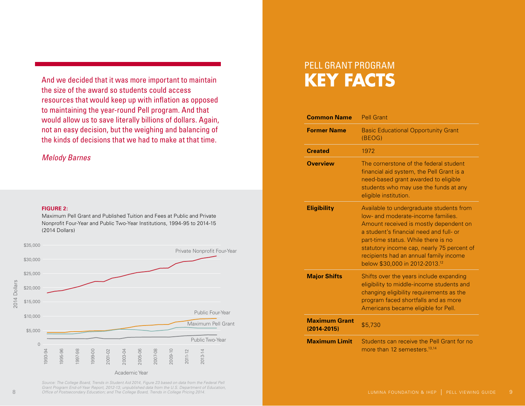And we decided that it was more important to maintain the size of the award so students could access resources that would keep up with inflation as opposed to maintaining the year-round Pell program. And that would allow us to save literally billions of dollars. Again, not an easy decision, but the weighing and balancing of the kinds of decisions that we had to make at that time.

#### *Melody Barnes*

#### **FIGURE 2:**

Maximum Pell Grant and Published Tuition and Fees at Public and Private Nonprofit Four-Year and Public Two-Year Institutions, 1994-95 to 2014-15 (2014 Dollars)



8 *Office of Postsecondary Education; and The College Board, Trends in College Pricing 2014.* **9 Pell Development College Pricing 2014. 9 Pell Development College Pricing 2014. 9** *Source: The College Board, Trends in Student Aid 2014, Figure 23 based on data from the Federal Pell Grant Program End-of-Year Report, 2012-13; unpublished data from the U.S. Department of Education,* 

### PELL GRANT PROGRAM **KEY FACTS**

| <b>Common Name</b>                      | <b>Pell Grant</b>                                                                                                                                                                                                                                                                                                                                |
|-----------------------------------------|--------------------------------------------------------------------------------------------------------------------------------------------------------------------------------------------------------------------------------------------------------------------------------------------------------------------------------------------------|
| <b>Former Name</b>                      | <b>Basic Educational Opportunity Grant</b><br>(BEOG)                                                                                                                                                                                                                                                                                             |
| <b>Created</b>                          | 1972                                                                                                                                                                                                                                                                                                                                             |
| <b>Overview</b>                         | The cornerstone of the federal student<br>financial aid system, the Pell Grant is a<br>need-based grant awarded to eligible<br>students who may use the funds at any<br>eligible institution.                                                                                                                                                    |
| <b>Eligibility</b>                      | Available to undergraduate students from<br>low- and moderate-income families.<br>Amount received is mostly dependent on<br>a student's financial need and full- or<br>part-time status. While there is no<br>statutory income cap, nearly 75 percent of<br>recipients had an annual family income<br>below \$30,000 in 2012-2013. <sup>12</sup> |
| <b>Major Shifts</b>                     | Shifts over the years include expanding<br>eligibility to middle-income students and<br>changing eligibility requirements as the<br>program faced shortfalls and as more<br>Americans became eligible for Pell.                                                                                                                                  |
| <b>Maximum Grant</b><br>$(2014 - 2015)$ | \$5,730                                                                                                                                                                                                                                                                                                                                          |
| <b>Maximum Limit</b>                    | Students can receive the Pell Grant for no<br>more than 12 semesters 13,14                                                                                                                                                                                                                                                                       |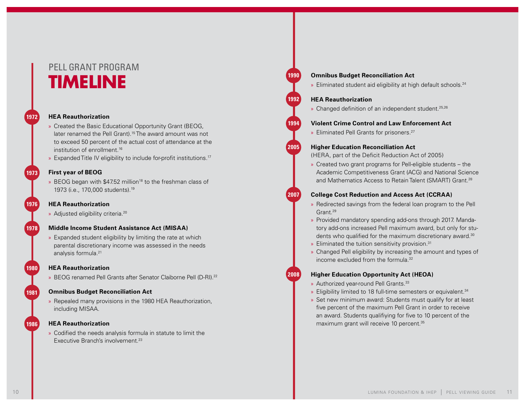### PELL GRANT PROGRAM **TIMELINE**

#### **HEA Reauthorization**

- » Created the Basic Educational Opportunity Grant (BEOG, later renamed the Pell Grant).<sup>15</sup> The award amount was not to exceed 50 percent of the actual cost of attendance at the institution of enrollment.<sup>16</sup>
- » Expanded Title IV eligibility to include for-profit institutions.<sup>17</sup>

#### **First year of BEOG 1973**

**1976**

**1978**

**1980**

**1981**

**1986**

**1972**

- » BEOG began with \$47.52 million<sup>18</sup> to the freshman class of
- 1973 (i.e., 170,000 students).19

#### **HEA Reauthorization**

» Adjusted eligibility criteria.20

#### **Middle Income Student Assistance Act (MISAA)**

» Expanded student eligibility by limiting the rate at which parental discretionary income was assessed in the needs analysis formula<sup>21</sup>

#### **HEA Reauthorization**

» BEOG renamed Pell Grants after Senator Claiborne Pell (D-RI).<sup>22</sup>

#### **Omnibus Budget Reconciliation Act**

» Repealed many provisions in the 1980 HEA Reauthorization, including MISAA.

#### **HEA Reauthorization**

» Codified the needs analysis formula in statute to limit the Executive Branch's involvement.<sup>23</sup>

#### **Omnibus Budget Reconciliation Act**

» Eliminated student aid eligibility at high default schools.<sup>24</sup>

#### **HEA Reauthorization**

» Changed definition of an independent student.<sup>25,26</sup>

#### **Violent Crime Control and Law Enforcement Act**

» Eliminated Pell Grants for prisoners.27

#### **Higher Education Reconciliation Act**

(HERA, part of the Deficit Reduction Act of 2005)

» Created two grant programs for Pell-eligible students – the Academic Competitiveness Grant (ACG) and National Science and Mathematics Access to Retain Talent (SMART) Grant.<sup>28</sup>

#### **College Cost Reduction and Access Act (CCRAA)**

- » Redirected savings from the federal loan program to the Pell Grant.<sup>29</sup>
- » Provided mandatory spending add-ons through 2017. Mandatory add-ons increased Pell maximum award, but only for students who qualified for the maximum discretionary award.<sup>30</sup>
- » Eliminated the tuition sensitivity provision.<sup>31</sup>
- » Changed Pell eligibility by increasing the amount and types of income excluded from the formula<sup>32</sup>

#### **2008**

**1990**

**1992**

**1994**

**2005**

**2007**

- **Higher Education Opportunity Act (HEOA)**
- » Authorized year-round Pell Grants.<sup>33</sup>
- » Eligibility limited to 18 full-time semesters or equivalent.<sup>34</sup>
- » Set new minimum award: Students must qualify for at least five percent of the maximum Pell Grant in order to receive an award. Students qualifiying for five to 10 percent of the maximum grant will receive 10 percent.<sup>35</sup>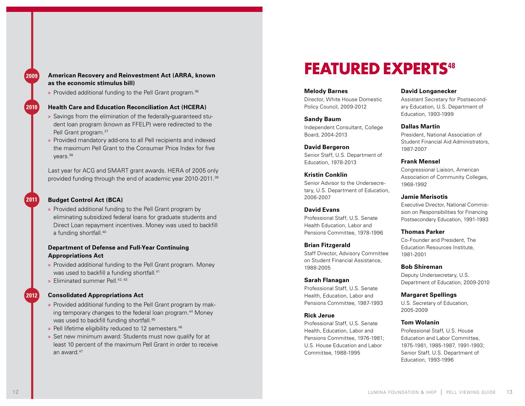**2009**

#### **American Recovery and Reinvestment Act (ARRA, known as the economic stimulus bill)**

» Provided additional funding to the Pell Grant program.<sup>36</sup>

#### **2010**

**2011**

**2012**

#### **Health Care and Education Reconciliation Act (HCERA)**

- » Savings from the elimination of the federally-guaranteed stu dent loan program (known as FFELP) were redirected to the Pell Grant program.37
- » Provided mandatory add-ons to all Pell recipients and indexed the maximum Pell Grant to the Consumer Price Index for five years.38

Last year for ACG and SMART grant awards. HERA of 2005 only provided funding through the end of academic year 2010-2011.<sup>39</sup>

#### **Budget Control Act (BCA)**

» Provided additional funding to the Pell Grant program by eliminating subsidized federal loans for graduate students and Direct Loan repayment incentives. Money was used to backfill a funding shortfall.40

#### **Department of Defense and Full-Year Continuing Appropriations Act**

- » Provided additional funding to the Pell Grant program. Money was used to backfill a funding shortfall.<sup>41</sup>
- » Eliminated summer Pell.<sup>42, 43</sup>

#### **Consolidated Appropriations Act**

- » Provided additional funding to the Pell Grant program by mak ing temporary changes to the federal loan program.<sup>44</sup> Money was used to backfill funding shortfall.<sup>45</sup>
- » Pell lifetime eligibility reduced to 12 semesters.<sup>46</sup>
- » Set new minimum award: Students must now qualify for at least 10 percent of the maximum Pell Grant in order to receive an award.47

### **FEATURED EXPERTS<sup>48</sup>**

#### **Melody Barnes**

Director, White House Domestic Policy Council, 2009-2012

#### **Sandy Baum**

Independent Consultant, College Board, 2004-2013

#### **David Bergeron**

Senior Staff, U.S. Department of Education, 1978-2013

#### **Kristin Conklin**

Senior Advisor to the Undersecre tary, U.S. Department of Education, 2006-2007

#### **David Evans**

Professional Staff, U.S. Senate Health Education, Labor and Pensions Committee, 1978-1996

#### **Brian Fitzgerald**

Staff Director, Advisory Committee on Student Financial Assistance, 1988-2005

#### **Sarah Flanagan**

Professional Staff, U.S. Senate Health, Education, Labor and Pensions Committee, 1987-1993

#### **Rick Jerue**

Professional Staff, U.S. Senate Health, Education, Labor and Pensions Committee, 1976-1981; U.S. House Education and Labor Committee, 1988-1995

#### **David Longanecker**

Assistant Secretary for Postsecond ary Education, U.S. Department of Education, 1993-1999

#### **Dallas Martin**

President, National Association of Student Financial Aid Administrators, 1987-2007

#### **Frank Mensel**

Congressional Liaison, American Association of Community Colleges, 1968-1992

#### **Jamie Merisotis**

Executive Director, National Commis sion on Responsibilities for Financing Postsecondary Education, 1991-1993

#### **Thomas Parker**

Co-Founder and President, The Education Resources Institute, 1981-2001

#### **Bob Shireman**

Deputy Undersecretary, U.S. Department of Education, 2009-2010

#### **Margaret Spellings**

U.S. Secretary of Education, 2005-2009

#### **Tom Wolanin**

Professional Staff, U.S. House Education and Labor Committee, 1975-1981, 1985-1987, 1991-1993; Senior Staff, U.S. Department of Education, 1993-1996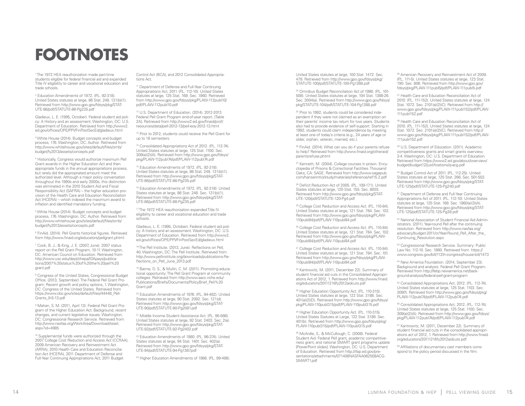## **FOOTNOTES**

1 The 1972 HEA reauthorization made part-time students eligible for federal financial aid and expanded Title IV eligibility to career and vocational education and

trade schools.<br><sup>2</sup> Education Amendments of 1972. (P.L. 92-318). United States statutes at large, 86 Stat. 248. 131(b)(1). Retrieved from http://www.gpo.gov/fdsys/pkg/STAT-UTE-86/pdf/STATUTE-86-Pg235.pdf

Gladieux, L. E. (1995, October). Federal student aid poli cy: A History and an assessment. Washington, DC: U.S. Department of Education. Retrieved from http://www2. ed.gov/offices/OPE/PPI/FinPostSecEd/gladieux.html

3 White House (2014). Budget concepts and budget process, 176. Washington, DC: Author. Retrieved from http://www.whitehouse.gov/sites/default/files/omb/ budget/fy2013/assets/concepts.pdf

4 Historically, Congress would authorize maximum Pell Grant awards in the Higher Education Act and then appropriate funds in the annual appropriations process, but rarely did the appropriated amount meet the authorized level. Although a major policy conversation throughout the 1990s and early 2000s, this distinction was eliminated in the 2010 Student Aid and Fiscal Responsibility Act (SAFRA) – the higher education pro vision of the Health Care and Education Reconciliation Act (HCERA) – which indexed the maximum award to inflation and identified mandatory funding.

<sup>5</sup> White House (2014). Budget concepts and budget process, 176. Washington, DC: Author. Retrieved from http://www.whitehouse.gov/sites/default/files/omb/

budget/fy2013/assets/concepts.pdf<br><sup>6</sup> FinAid. (2014). Pell Grants historical figures. Retrieved from http://www.finaid.org/educators/pellgrant.phtml 7

 Cook, B. J., & King, J. E. (2007, June). 2007 status report on the Pell Grant Program, 10-11. Washington, DC: American Council on Education. Retrieved from http://www.usc.edu/dept/chepa/IDApays/publica tions/2007%20status%20of%20the%20pell%20 grant.pdf

<sup>8</sup> Congress of the United States, Congressional Budget Office. (2013, September). The Federal Pell Grant Pro gram: Recent growth and policy options, 1. Washington, DC: Congress of the United States. Retrieved from https://www.cbo.gov/sites/default/files/44448\_Pell-Grants\_9-5-13.pdf

<sup>9</sup> Mahan, S. M. (2011, April 13). Federal Pell Grant Program of the Higher Education Act: Background, recent changes, and current legislative issues. Washington, DC: Congressional Research Service. Retrieved from http://www.nasfaa.org/WorkArea/DownloadAsset. aspx?id=4985

<sup>10</sup> Supplemental funds were authorized through the 2007 College Cost Reduction and Access Act (CCRAA), 2009 American Recovery and Reinvestment Act (ARRA), 2010 Health Care and Education Reconcilia tion Act (HCERA), 2011 Department of Defense and Full-Year Continuing Appropriations Act, 2011 Budget

Control Act (BCA), and 2012 Consolidated Appropria tions Act.

<sup>1</sup> Department of Defense and Full-Year Continuing Appropriations Act, 2011. (P.L. 112-10). United States statutes at large, 125 Stat. 169. Sec. 1860. Retrieved from http://www.gpo.gov/fdsys/pkg/PLAW-112publ10/ pdf/PLAW-112publ10.pdf

12 U.S. Department of Education. (2014). 2012-2013 Federal Pell Grant Program end-of-year report. [Table 2A]. Retrieved from http://www2.ed.gov/finaid/prof/ resources/data/pell-2012-13/pell-eoy-2012-13.html

<sup>13</sup> Prior to 2012, students could receive the Pell Grant for up to 18 semesters.

<sup>14</sup> Consolidated Appropriations Act of 2012. (P.L. 112-74). United States statutes at large, 125 Stat. 1100. Sec. 309(a)(2)(A). Retrieved from http://www.gpo.gov/fdsys/ pkg/PLAW-112publ74/pdf/PLAW-112publ74.pdf

<sup>15</sup> Education Amendments of 1972. (P.L. 92-318). United States statutes at large, 86 Stat. 248. 131(b)(1). Retrieved from http://www.gpo.gov/fdsys/pkg/STAT-UTE-86/pdf/STATUTE-86-Pg235.pdf

<sup>16</sup> Education Amendments of 1972. (P.L. 92-318). United States statutes at large, 86 Stat. 248. Sec. 131(b)(1). Retrieved from http://www.gpo.gov/fdsys/pkg/STAT-UTE-86/pdf/STATUTE-86-Pg235.pdf

<sup>17</sup> The 1972 HEA reauthorization expanded Title IV eligibility to career and vocational education and trade schools.

Gladieux, L. E. (1995, October). Federal student aid poli cy: A history and an assessment. Washington, DC: U.S. Department of Education. Retrieved from http://www2. ed.gov/offices/OPE/PPI/FinPostSecEd/gladieux.html

<sup>18</sup> The Pell Institute, (2013, June). Reflections on Pell, 40. Washington, DC: The Pell Institute. Retrieved from http://www.pellinstitute.org/downloads/publications-Re flections\_on\_Pell\_June\_2013.pdf

<sup>19</sup> Baime, D. S., & Mullin, C. M. (2011). Promoting educational opportunity: The Pell Grant Program at community colleges. Retrieved from http://www.aacc.nche.edu/ Publications/Briefs/Documents/PolicyBrief\_Pell%20 Grant.pdf

20 Education Amendments of 1976. (P.L. 94-482). United States statutes at large, 90 Stat. 2092. Sec. 121(d). Retrieved from http://www.gpo.gov/fdsys/pkg/STAT-UTE-90/pdf/STATUTE-90-Pg2081.pdf

21 Middle Income Student Assistance Act. (P.L. 95-566). United States statutes at large, 92 Stat. 2403. Sec. 2(a). Retrieved from http://www.gpo.gov/fdsys/pkg/STAT-UTE-92/pdf/STATUTE-92-Pg2402.pdf

22 Education Amendments of 1980. (P.L. 96-374). United States statutes at large, 94 Stat. 1401. Sec. 402(a). Retrieved from http://www.gpo.gov/fdsys/pkg/STAT-UTE-94/pdf/STATUTE-94-Pg1367.pdf

23 Higher Education Amendments of 1986. (P.L. 99-498).

United States statutes at large, 100 Stat. 1472. Sec. 479. Retrieved from http://www.gpo.gov/fdsys/pkg/ STATUTE-100/pdf/STATUTE-100-Pg1268.pdf

<sup>24</sup> Omnibus Budget Reconciliation Act of 1990. (P.L. 101-508). United States statutes at large, 104 Stat. 1388-26. Sec. 3004(a). Retrieved from http://www.gpo.gov/fdsys/ pkg/STATUTE-104/pdf/STATUTE-104-Pg1388.pdf

<sup>25</sup> Prior to 1992, students could be considered independent if they were not claimed as an exemption on their parents' income tax return for two years. Students also had to provide evidence of self-support. Starting in 1992, students could claim independence by meeting at least one of today's criteria (e.g., 24 years of age or older, orphan, veteran, married, etc.).

26 FinAid. (2014). What can you do if your parents refuse to help? Retrieved from http://www.finaid.org/otheraid/ parentsrefuse.phtml

27 Kenneth, M. (2004). College courses in prison. Encyclopedia of Prisons & Correctional Facilities. Thousand Oaks, CA: SAGE. Retrieved from http://www.sagepub. com/hanserintro/study/materials/reference/ref15.2.pdf

28 Deficit Reduction Act of 2005. (P.L. 109-171). United States statutes at large, 120 Stat. 155. Sec. 8003. Retrieved from http://www.gpo.gov/fdsys/pkg/STAT-UTE-120/pdf/STATUTE-120-Pg4.pdf

29 College Cost Reduction and Access Act. (P.L. 110-84). United States statutes at large, 121 Stat. 784. Sec. 102. Retrieved from http://www.gpo.gov/fdsys/pkg/PLAW-110publ84/pdf/PLAW-110publ84.pdf

<sup>30</sup> College Cost Reduction and Access Act. (P.L. 110-84). United States statutes at large, 121 Stat. 784. Sec. 102. Retrieved from http://www.gpo.gov/fdsys/pkg/PLAW-110publ84/pdf/PLAW-110publ84.pdf

<sup>31</sup> College Cost Reduction and Access Act. (P.L. 110-84). United States statutes at large, 121 Stat. 784. Sec. 101. Retrieved from http://www.gpo.gov/fdsys/pkg/PLAW-110publ84/pdf/PLAW-110publ84.pdf

32 Kantrowitz, M. (2011, December 22). Summary of student financial aid cuts in the Consolidated Appropri ations Act of 2012, 1. Retrieved from http://www.finaid. org/educators/20111216fy2012aidcuts.pdf

33 Higher Education Opportunity Act. (P.L. 110-315). United States statutes at large, 122 Stat. 3188. Sec. 401(a)(2)(D). Retrieved from http://www.gpo.gov/fdsys/ pkg/PLAW-110publ315/pdf/PLAW-110publ315.pdf

<sup>34</sup> Higher Education Opportunity Act. (P.L. 110-315). United States Statutes at Large, 122 Stat. 3189. Sec. 401(b). Retrieved from http://www.gpo.gov/fdsys/pkg/ PLAW-110publ315/pdf/PLAW-110publ315.pdf

35 McArdle, S., & McCullough, C. (2008). Federal Student Aid. Federal Pell grant, academic competitive ness grant, and national SMART grant programs update [PowerPoint slides]. Washington, DC: U.S. Department of Education. Retrieved from http://ifap.ed.gov/pre sentations/attachments/071408NASFAA062508ACG - SMART1.pdf

<sup>36</sup> American Recovery and Reinvestment Act of 2009. (P.L. 111-5). United States statutes at large, 123 Stat. 190. Sec. 806. Retrieved from http://www.gpo.gov/ fdsys/pkg/PLAW-111publ5/pdf/PLAW-111publ5.pdf

<sup>37</sup> Health Care and Education Reconciliation Act of 2010. (P.L. 111-152). United States statutes at large, 124 Stat. 1072. Sec. 2101(a)(2)(C). Retrieved from http:// www.gpo.gov/fdsys/pkg/PLAW-111publ152/pdf/PLAW-111publ152.pdf

<sup>38</sup> Health Care and Education Reconciliation Act of 2010. (P.L. 111-152). United States statutes at large, 124 Stat. 1072. Sec. 2101(a)(2)(C). Retrieved from http:// www.gpo.gov/fdsys/pkg/PLAW-111publ152/pdf/PLAW- $111$ publ $152$  pdf

39 U.S. Department of Education. (2011). Academic competitiveness grants and smart grants overview, 3-4. Washington, DC: U.S. Department of Education. Retrieved from https://www2.ed.gov/about/overview/ budget/budget12/justifications/q-acg.pdf

40 Budget Control Act of 2011. (P.L. 112-25). United States statutes at large, 125 Stat. 266. Sec. 501-502. Retrieved from http://www.gpo.gov/fdsys/pkg/STAT-UTE-125/pdf/STATUTE-125-Pg240.pdf

41 Department of Defense and Full-Year Continuing Appropriations Act of 2011. (P.L. 112-10). United States statutes at large, 125 Stat. 169. Sec. 1860(a)(3)(A). Retrieved from http://www.gpo.gov/fdsys/pkg/STAT-UTE-125/pdf/STATUTE-125-Pg38.pdf

42 National Association of Student Financial Aid Admin istrators. (2011). Year-round Pell after the continuing resolution. Retrieved from http://www.nasfaa.org/ advocacy/budget-2011/cr/Year-Round\_Pell\_After\_the\_ Continuing\_Resolution.aspx

43 Congressional Research Service. Summary: Public Law No: 112-10. Sec. 1860. Retrieved from https:// www.congress.gov/bill/112th-congress/house-bill/1473

<sup>44</sup> New America Foundation. (2014, September 23). Background and analysis: Federal Pell Grant Program. Retrieved from http://febp.newamerica.net/back ground-analysis/federal-pell-grant-program

45 Consolidated Appropriations Act, 2012. (P.L. 112-74). United States statutes at large, 125 Stat. 1103. Sec. 309(f). Retrieved from http://www.gpo.gov/fdsys/pkg/ PLAW-112publ74/pdf/PLAW-112publ74.pdf

46 Consolidated Appropriations Act, 2012. (P.L. 112-74). United States statutes at large, 125 Stat. 1100. Sec. 309(a)(2)(A). Retrieved from http://www.gpo.gov/fdsys/ pkg/PLAW-112publ74/pdf/PLAW-112publ74.pdf

47 Kantrowitz, M. (2011, December 22). Summary of student financial aid cuts in the consolidated appropri ations act of 2012, 1. Retrieved from http://www.finaid. org/educators/20111216fy2012aidcuts.pdf

48 Affiliations of documentary cast members corre spond to the policy period discussed in the film.